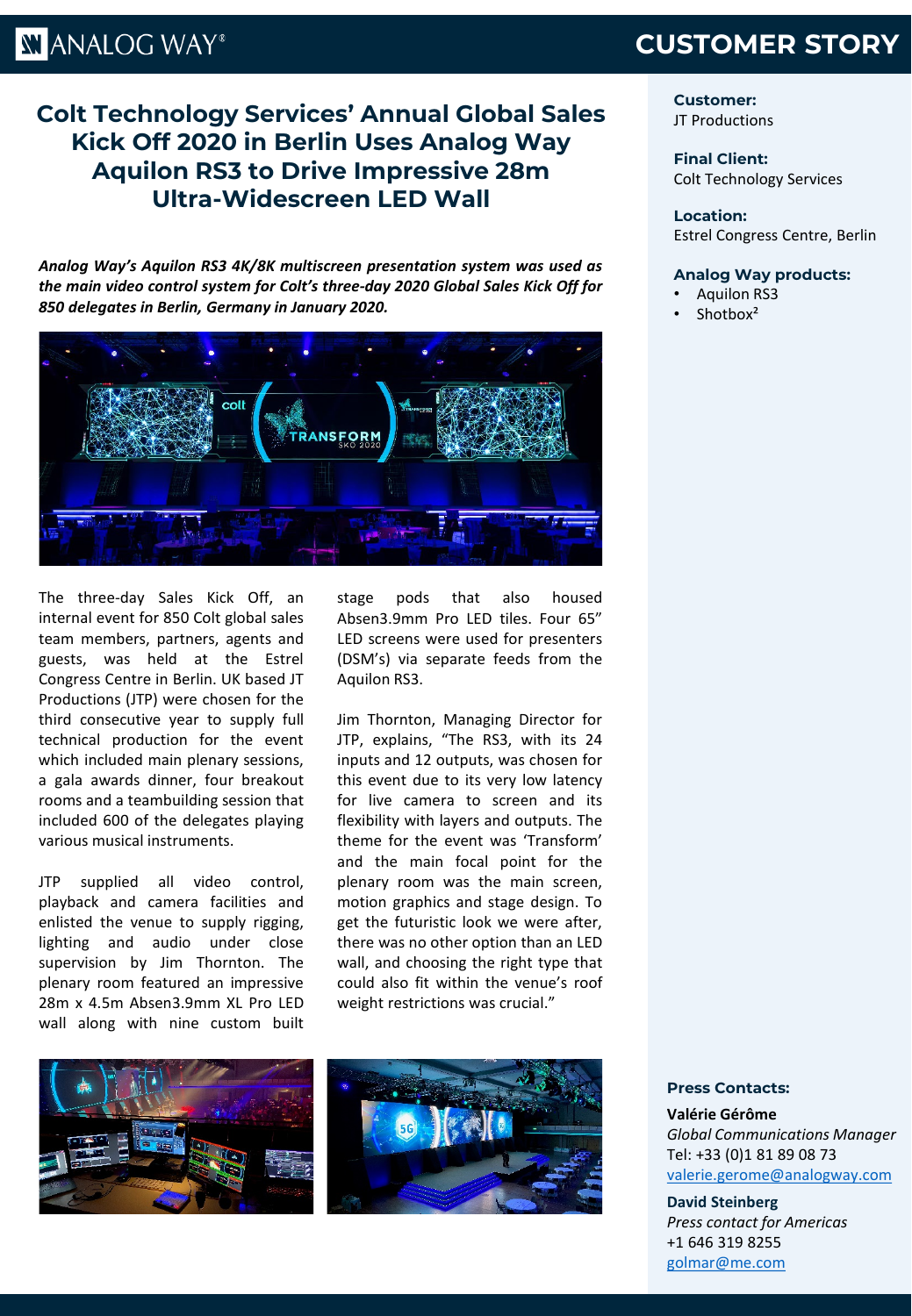# **KI ANALOG WAY®**

## **CUSTOMER STORY**

### **Colt Technology Services' Annual Global Sales Kick Off 2020 in Berlin Uses Analog Way Aquilon RS3 to Drive Impressive 28m Ultra-Widescreen LED Wall**

*Analog Way's Aquilon RS3 4K/8K multiscreen presentation system was used as the main video control system for Colt's three-day 2020 Global Sales Kick Off for 850 delegates in Berlin, Germany in January 2020.*



The three-day Sales Kick Off, an internal event for 850 Colt global sales team members, partners, agents and guests, was held at the Estrel Congress Centre in Berlin. UK based JT Productions (JTP) were chosen for the third consecutive year to supply full technical production for the event which included main plenary sessions, a gala awards dinner, four breakout rooms and a teambuilding session that included 600 of the delegates playing various musical instruments.

JTP supplied all video control, playback and camera facilities and enlisted the venue to supply rigging, lighting and audio under close supervision by Jim Thornton. The plenary room featured an impressive 28m x 4.5m Absen3.9mm XL Pro LED wall along with nine custom built stage pods that also housed Absen3.9mm Pro LED tiles. Four 65" LED screens were used for presenters (DSM's) via separate feeds from the Aquilon RS3.

Jim Thornton, Managing Director for JTP, explains, "The RS3, with its 24 inputs and 12 outputs, was chosen for this event due to its very low latency for live camera to screen and its flexibility with layers and outputs. The theme for the event was 'Transform' and the main focal point for the plenary room was the main screen, motion graphics and stage design. To get the futuristic look we were after, there was no other option than an LED wall, and choosing the right type that could also fit within the venue's roof weight restrictions was crucial."





**Customer:** JT Productions

**Final Client:** Colt Technology Services

#### **Location:**

Estrel Congress Centre, Berlin

#### **Analog Way products:**

- Aquilon RS3
- Shotbox<sup>2</sup>

#### **Press Contacts:**

**Valérie Gérôme** *Global Communications Manager* Tel: +33 (0)1 81 89 08 73 [valerie.gerome@analogway.com](mailto:valerie.gerome@analogway.com)

#### **David Steinberg**

*Press contact for Americas* +1 646 319 8255 [golmar@me.com](mailto:golmar@me.com)